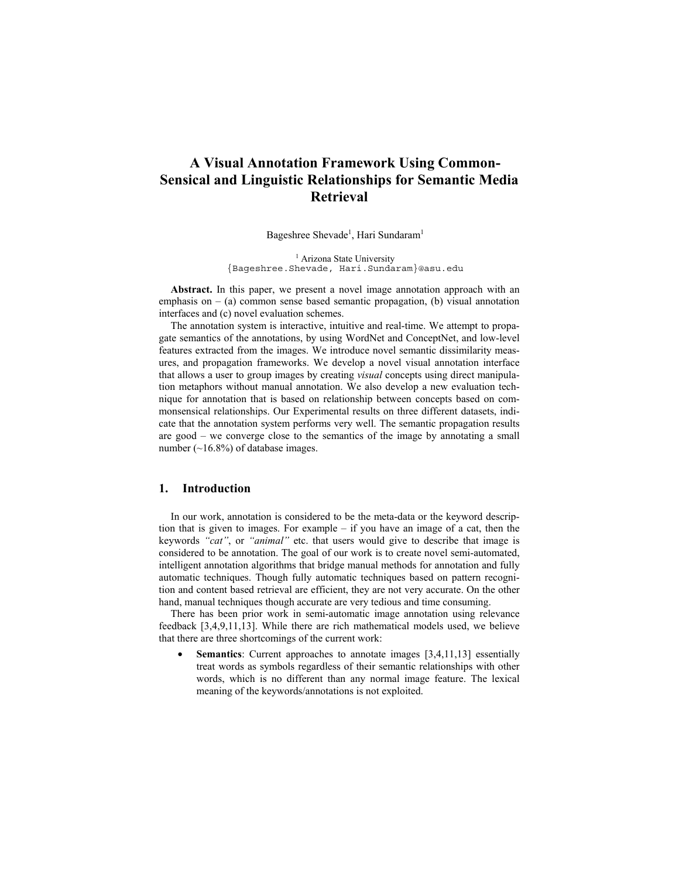# **A Visual Annotation Framework Using Common-Sensical and Linguistic Relationships for Semantic Media Retrieval**

Bageshree Shevade<sup>1</sup>, Hari Sundaram<sup>1</sup>

<sup>1</sup> Arizona State University {Bageshree.Shevade, Hari.Sundaram}@asu.edu

**Abstract.** In this paper, we present a novel image annotation approach with an emphasis on  $-$  (a) common sense based semantic propagation, (b) visual annotation interfaces and (c) novel evaluation schemes.

The annotation system is interactive, intuitive and real-time. We attempt to propagate semantics of the annotations, by using WordNet and ConceptNet, and low-level features extracted from the images. We introduce novel semantic dissimilarity measures, and propagation frameworks. We develop a novel visual annotation interface that allows a user to group images by creating *visual* concepts using direct manipulation metaphors without manual annotation. We also develop a new evaluation technique for annotation that is based on relationship between concepts based on commonsensical relationships. Our Experimental results on three different datasets, indicate that the annotation system performs very well. The semantic propagation results are good – we converge close to the semantics of the image by annotating a small number  $(\sim 16.8\%)$  of database images.

#### **1. Introduction**

In our work, annotation is considered to be the meta-data or the keyword description that is given to images. For example – if you have an image of a cat, then the keywords *"cat"*, or *"animal"* etc. that users would give to describe that image is considered to be annotation. The goal of our work is to create novel semi-automated, intelligent annotation algorithms that bridge manual methods for annotation and fully automatic techniques. Though fully automatic techniques based on pattern recognition and content based retrieval are efficient, they are not very accurate. On the other hand, manual techniques though accurate are very tedious and time consuming.

There has been prior work in semi-automatic image annotation using relevance feedback [3,4,9,11,13]. While there are rich mathematical models used, we believe that there are three shortcomings of the current work:

**Semantics**: Current approaches to annotate images [3,4,11,13] essentially treat words as symbols regardless of their semantic relationships with other words, which is no different than any normal image feature. The lexical meaning of the keywords/annotations is not exploited.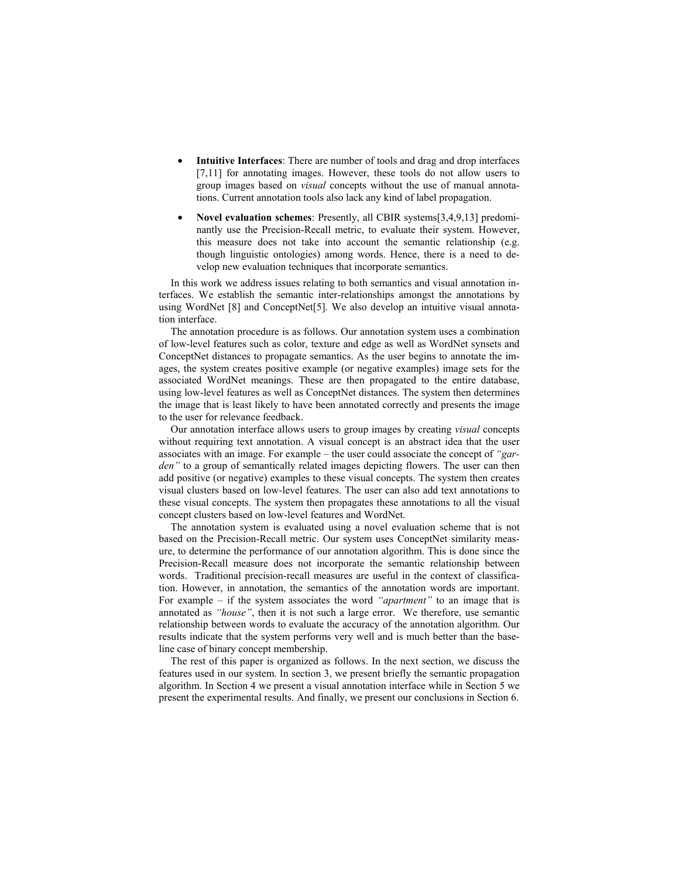- **Intuitive Interfaces**: There are number of tools and drag and drop interfaces [7,11] for annotating images. However, these tools do not allow users to group images based on *visual* concepts without the use of manual annotations. Current annotation tools also lack any kind of label propagation.
- **Novel evaluation schemes**: Presently, all CBIR systems[3,4,9,13] predominantly use the Precision-Recall metric, to evaluate their system. However, this measure does not take into account the semantic relationship (e.g. though linguistic ontologies) among words. Hence, there is a need to develop new evaluation techniques that incorporate semantics.

In this work we address issues relating to both semantics and visual annotation interfaces. We establish the semantic inter-relationships amongst the annotations by using WordNet [8] and ConceptNet[5]. We also develop an intuitive visual annotation interface.

The annotation procedure is as follows. Our annotation system uses a combination of low-level features such as color, texture and edge as well as WordNet synsets and ConceptNet distances to propagate semantics. As the user begins to annotate the images, the system creates positive example (or negative examples) image sets for the associated WordNet meanings. These are then propagated to the entire database, using low-level features as well as ConceptNet distances. The system then determines the image that is least likely to have been annotated correctly and presents the image to the user for relevance feedback.

Our annotation interface allows users to group images by creating *visual* concepts without requiring text annotation. A visual concept is an abstract idea that the user associates with an image. For example – the user could associate the concept of *"garden"* to a group of semantically related images depicting flowers. The user can then add positive (or negative) examples to these visual concepts. The system then creates visual clusters based on low-level features. The user can also add text annotations to these visual concepts. The system then propagates these annotations to all the visual concept clusters based on low-level features and WordNet.

The annotation system is evaluated using a novel evaluation scheme that is not based on the Precision-Recall metric. Our system uses ConceptNet similarity measure, to determine the performance of our annotation algorithm. This is done since the Precision-Recall measure does not incorporate the semantic relationship between words. Traditional precision-recall measures are useful in the context of classification. However, in annotation, the semantics of the annotation words are important. For example – if the system associates the word *"apartment"* to an image that is annotated as *"house"*, then it is not such a large error. We therefore, use semantic relationship between words to evaluate the accuracy of the annotation algorithm. Our results indicate that the system performs very well and is much better than the baseline case of binary concept membership.

The rest of this paper is organized as follows. In the next section, we discuss the features used in our system. In section 3, we present briefly the semantic propagation algorithm. In Section 4 we present a visual annotation interface while in Section 5 we present the experimental results. And finally, we present our conclusions in Section 6.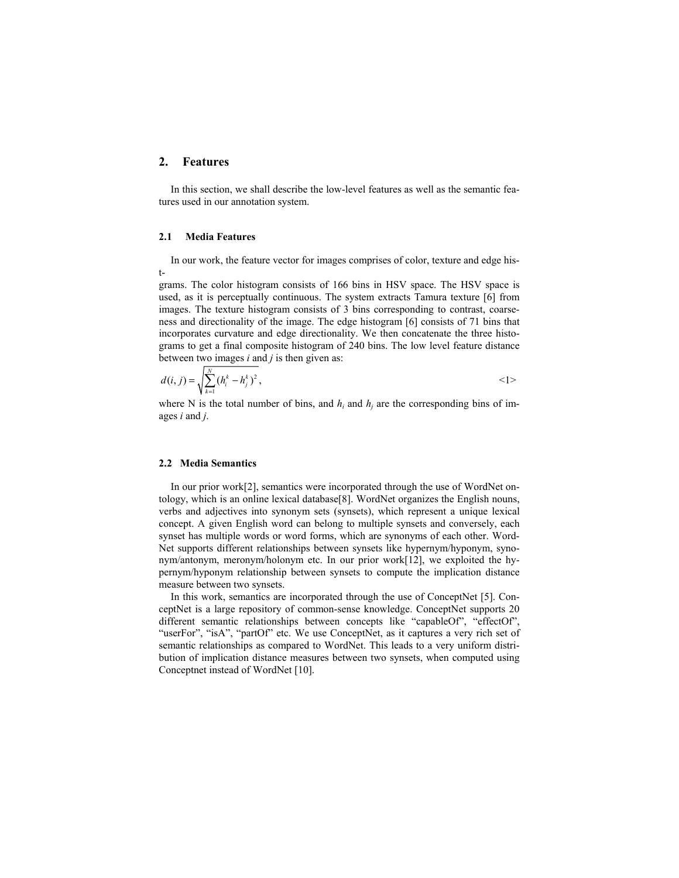## **2. Features**

In this section, we shall describe the low-level features as well as the semantic features used in our annotation system.

#### **2.1 Media Features**

In our work, the feature vector for images comprises of color, texture and edge hist-

grams. The color histogram consists of 166 bins in HSV space. The HSV space is used, as it is perceptually continuous. The system extracts Tamura texture [6] from images. The texture histogram consists of 3 bins corresponding to contrast, coarseness and directionality of the image. The edge histogram [6] consists of 71 bins that incorporates curvature and edge directionality. We then concatenate the three histograms to get a final composite histogram of 240 bins. The low level feature distance between two images *i* and *j* is then given as:

$$
d(i, j) = \sqrt{\sum_{k=1}^{N} (h_i^k - h_j^k)^2},
$$
  $\langle 1 \rangle$ 

where N is the total number of bins, and  $h_i$  and  $h_j$  are the corresponding bins of images *i* and *j*.

#### **2.2 Media Semantics**

In our prior work[2], semantics were incorporated through the use of WordNet ontology, which is an online lexical database[8]. WordNet organizes the English nouns, verbs and adjectives into synonym sets (synsets), which represent a unique lexical concept. A given English word can belong to multiple synsets and conversely, each synset has multiple words or word forms, which are synonyms of each other. Word-Net supports different relationships between synsets like hypernym/hyponym, synonym/antonym, meronym/holonym etc. In our prior work[12], we exploited the hypernym/hyponym relationship between synsets to compute the implication distance measure between two synsets.

In this work, semantics are incorporated through the use of ConceptNet [5]. ConceptNet is a large repository of common-sense knowledge. ConceptNet supports 20 different semantic relationships between concepts like "capableOf", "effectOf", "userFor", "isA", "partOf" etc. We use ConceptNet, as it captures a very rich set of semantic relationships as compared to WordNet. This leads to a very uniform distribution of implication distance measures between two synsets, when computed using Conceptnet instead of WordNet [10].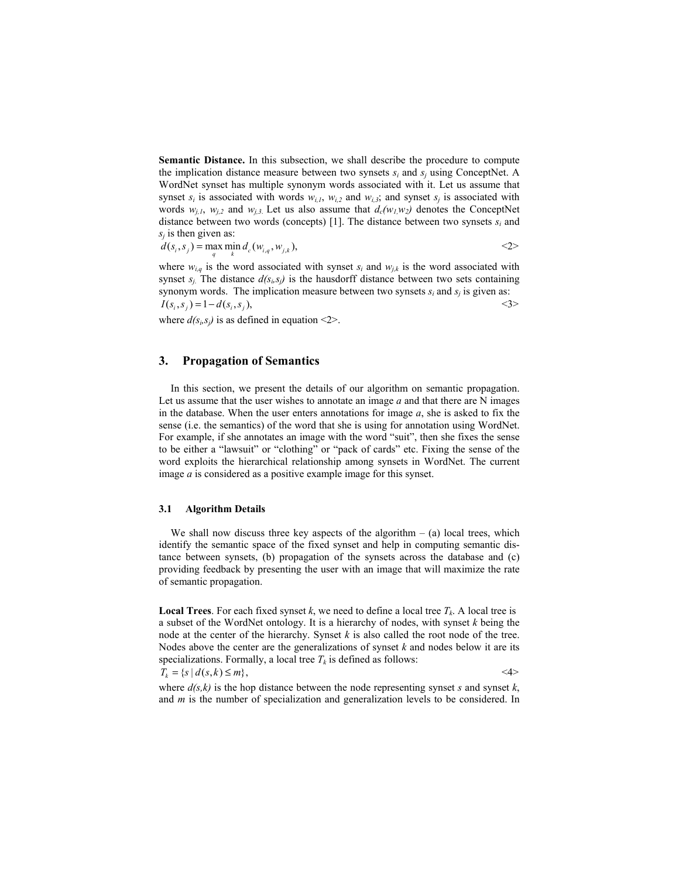**Semantic Distance.** In this subsection, we shall describe the procedure to compute the implication distance measure between two synsets  $s_i$  and  $s_j$  using ConceptNet. A WordNet synset has multiple synonym words associated with it. Let us assume that synset  $s_i$  is associated with words  $w_{i,j}$ ,  $w_{i,2}$  and  $w_{i,3}$ ; and synset  $s_j$  is associated with words  $w_{i,j}$ ,  $w_{i,2}$  and  $w_{i,3}$ . Let us also assume that  $d_c(w_l,w_2)$  denotes the ConceptNet distance between two words (concepts) [1]. The distance between two synsets  $s_i$  and  $s_i$  is then given as:

 $d(s_i, s_j) = \max_{q} \min_{k} d_c(w_{i,q}, w_{j,k}),$  <2>

where  $w_{i,q}$  is the word associated with synset  $s_i$  and  $w_{j,k}$  is the word associated with synset  $s_i$ . The distance  $d(s_i, s_j)$  is the hausdorff distance between two sets containing synonym words. The implication measure between two synsets  $s_i$  and  $s_j$  is given as:  $I(s_i, s_j) = 1 - d(s_i, s_j),$  <3>

where  $d(s_i, s_j)$  is as defined in equation <2>.

## **3. Propagation of Semantics**

In this section, we present the details of our algorithm on semantic propagation. Let us assume that the user wishes to annotate an image *a* and that there are N images in the database. When the user enters annotations for image *a*, she is asked to fix the sense (i.e. the semantics) of the word that she is using for annotation using WordNet. For example, if she annotates an image with the word "suit", then she fixes the sense to be either a "lawsuit" or "clothing" or "pack of cards" etc. Fixing the sense of the word exploits the hierarchical relationship among synsets in WordNet. The current image *a* is considered as a positive example image for this synset.

#### **3.1 Algorithm Details**

We shall now discuss three key aspects of the algorithm  $-$  (a) local trees, which identify the semantic space of the fixed synset and help in computing semantic distance between synsets, (b) propagation of the synsets across the database and (c) providing feedback by presenting the user with an image that will maximize the rate of semantic propagation.

**Local Trees**. For each fixed synset  $k$ , we need to define a local tree  $T_k$ . A local tree is a subset of the WordNet ontology. It is a hierarchy of nodes, with synset *k* being the node at the center of the hierarchy. Synset *k* is also called the root node of the tree. Nodes above the center are the generalizations of synset *k* and nodes below it are its specializations. Formally, a local tree  $T_k$  is defined as follows:

 $T_k = \{ s \mid d(s, k) \leq m \},$  <4> where  $d(s, k)$  is the hop distance between the node representing synset *s* and synset *k*, and *m* is the number of specialization and generalization levels to be considered. In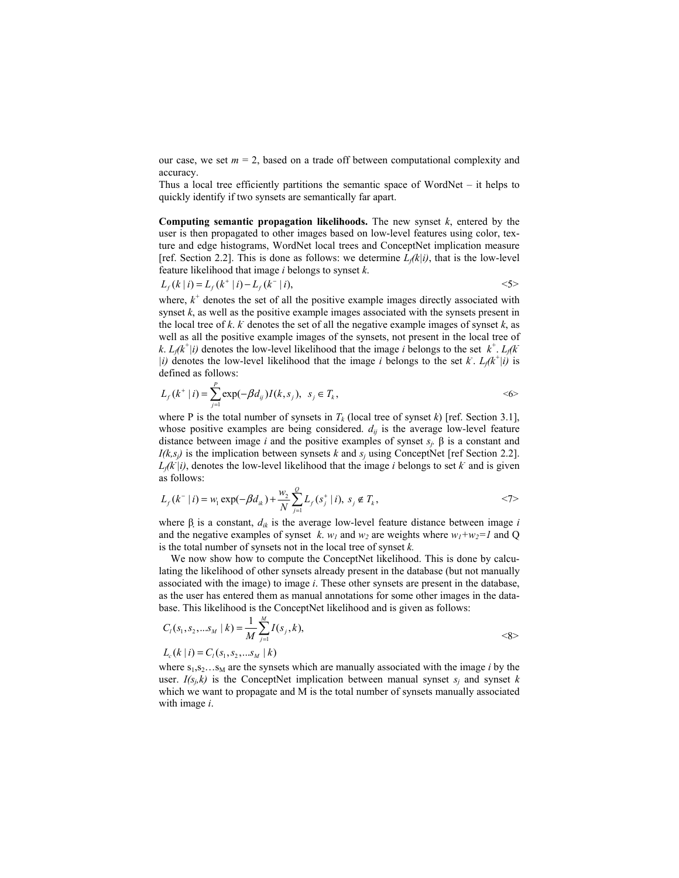our case, we set  $m = 2$ , based on a trade off between computational complexity and accuracy.

Thus a local tree efficiently partitions the semantic space of WordNet – it helps to quickly identify if two synsets are semantically far apart.

**Computing semantic propagation likelihoods.** The new synset *k*, entered by the user is then propagated to other images based on low-level features using color, texture and edge histograms, WordNet local trees and ConceptNet implication measure [ref. Section 2.2]. This is done as follows: we determine  $L_i(k|i)$ , that is the low-level feature likelihood that image *i* belongs to synset *k*.

$$
L_f(k|i) = L_f(k^+|i) - L_f(k^-|i),
$$
  $\langle 5 \rangle$ 

where,  $k^+$  denotes the set of all the positive example images directly associated with synset *k*, as well as the positive example images associated with the synsets present in the local tree of  $k$ .  $k$  denotes the set of all the negative example images of synset  $k$ , as well as all the positive example images of the synsets, not present in the local tree of *k*. *L<sub>f</sub>*( $k$ <sup>+</sup>|*i*)</sub> denotes the low-level likelihood that the image *i* belongs to the set  $k^+$ . *L<sub>f</sub>*( $k^+$ *(i)* denotes the low-level likelihood that the image *i* belongs to the set *k*.  $L_f(k^+|i)$  is defined as follows:

$$
L_f(k^+ | i) = \sum_{j=1}^P \exp(-\beta d_{ij}) I(k, s_j), \ \ s_j \in T_k, \tag{6}
$$

where P is the total number of synsets in  $T_k$  (local tree of synset k) [ref. Section 3.1], whose positive examples are being considered.  $d_{ij}$  is the average low-level feature distance between image *i* and the positive examples of synset *sj.* β is a constant and  $I(k, s_i)$  is the implication between synsets *k* and  $s_i$  using ConceptNet [ref Section 2.2].  $L_f(k|i)$ , denotes the low-level likelihood that the image *i* belongs to set *k* and is given as follows:

$$
L_f(k^- | i) = w_1 \exp(-\beta d_{ik}) + \frac{w_2}{N} \sum_{j=1}^{Q} L_f(s_j^+ | i), \ s_j \notin T_k, \tag{7}
$$

where  $\beta$  is a constant,  $d_{ik}$  is the average low-level feature distance between image *i* and the negative examples of synset *k*.  $w_1$  and  $w_2$  are weights where  $w_1 + w_2 = 1$  and Q is the total number of synsets not in the local tree of synset *k.* 

We now show how to compute the ConceptNet likelihood. This is done by calculating the likelihood of other synsets already present in the database (but not manually associated with the image) to image *i*. These other synsets are present in the database, as the user has entered them as manual annotations for some other images in the database. This likelihood is the ConceptNet likelihood and is given as follows:

$$
C_i(s_1, s_2, \dots s_M \mid k) = \frac{1}{M} \sum_{j=1}^{M} I(s_j, k),
$$
  
\n
$$
L_c(k \mid i) = C_i(s_1, s_2, \dots s_M \mid k)
$$

where  $s_1, s_2, \ldots, s_M$  are the synsets which are manually associated with the image *i* by the user.  $I(s_i, k)$  is the ConceptNet implication between manual synset  $s_i$  and synset  $k$ which we want to propagate and M is the total number of synsets manually associated with image *i*.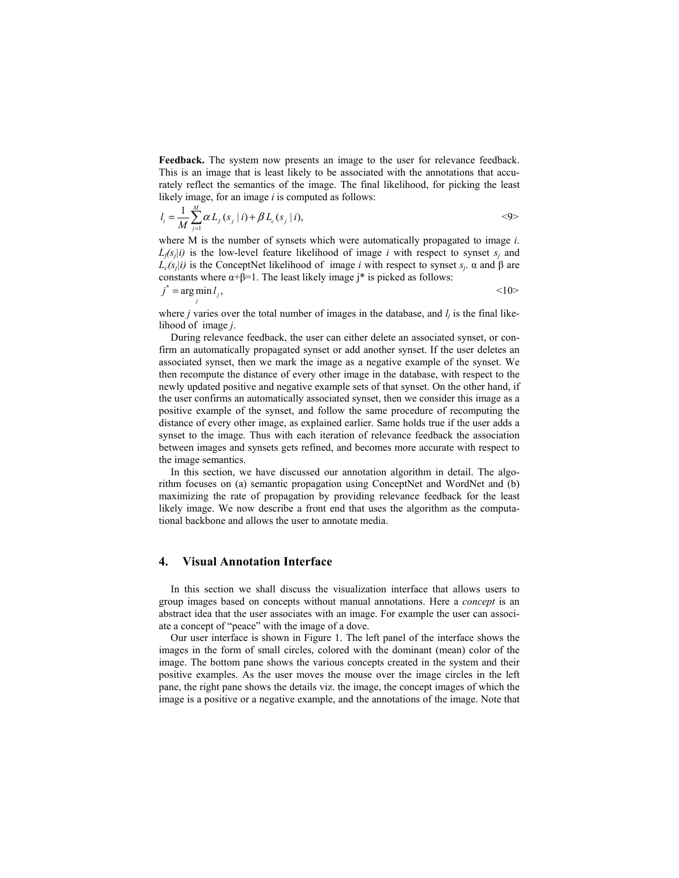**Feedback.** The system now presents an image to the user for relevance feedback. This is an image that is least likely to be associated with the annotations that accurately reflect the semantics of the image. The final likelihood, for picking the least likely image, for an image *i* is computed as follows:

$$
l_i = \frac{1}{M} \sum_{j=1}^{M} \alpha L_j(s_j \mid i) + \beta L_c(s_j \mid i),
$$
  $\langle 9 \rangle$ 

where M is the number of synsets which were automatically propagated to image *i*.  $L_f(s_i|i)$  is the low-level feature likelihood of image *i* with respect to synset  $s_i$  and  $L_c(s_i|i)$  is the ConceptNet likelihood of image *i* with respect to synset *s<sub>i</sub>*. α and β are constants where  $\alpha + \beta = 1$ . The least likely image j<sup>\*</sup> is picked as follows:

$$
j^* = \arg\min_j l_j, \tag{10}
$$

where *j* varies over the total number of images in the database, and  $l_i$  is the final likelihood of image *j*.

During relevance feedback, the user can either delete an associated synset, or confirm an automatically propagated synset or add another synset. If the user deletes an associated synset, then we mark the image as a negative example of the synset. We then recompute the distance of every other image in the database, with respect to the newly updated positive and negative example sets of that synset. On the other hand, if the user confirms an automatically associated synset, then we consider this image as a positive example of the synset, and follow the same procedure of recomputing the distance of every other image, as explained earlier. Same holds true if the user adds a synset to the image. Thus with each iteration of relevance feedback the association between images and synsets gets refined, and becomes more accurate with respect to the image semantics.

In this section, we have discussed our annotation algorithm in detail. The algorithm focuses on (a) semantic propagation using ConceptNet and WordNet and (b) maximizing the rate of propagation by providing relevance feedback for the least likely image. We now describe a front end that uses the algorithm as the computational backbone and allows the user to annotate media.

#### **4. Visual Annotation Interface**

In this section we shall discuss the visualization interface that allows users to group images based on concepts without manual annotations. Here a *concept* is an abstract idea that the user associates with an image. For example the user can associate a concept of "peace" with the image of a dove.

Our user interface is shown in Figure 1. The left panel of the interface shows the images in the form of small circles, colored with the dominant (mean) color of the image. The bottom pane shows the various concepts created in the system and their positive examples. As the user moves the mouse over the image circles in the left pane, the right pane shows the details viz. the image, the concept images of which the image is a positive or a negative example, and the annotations of the image. Note that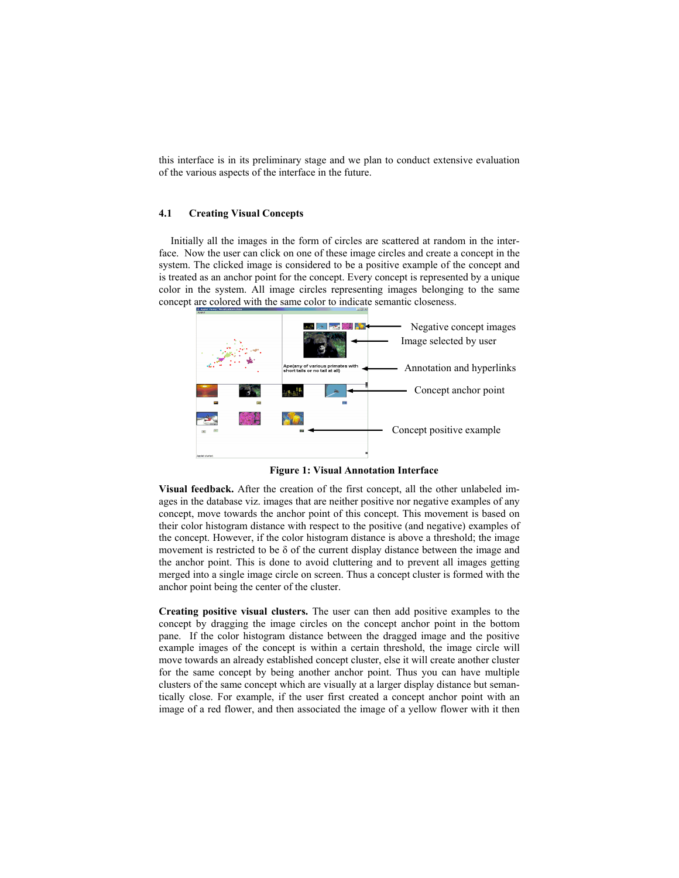this interface is in its preliminary stage and we plan to conduct extensive evaluation of the various aspects of the interface in the future.

#### **4.1 Creating Visual Concepts**

Initially all the images in the form of circles are scattered at random in the interface. Now the user can click on one of these image circles and create a concept in the system. The clicked image is considered to be a positive example of the concept and is treated as an anchor point for the concept. Every concept is represented by a unique color in the system. All image circles representing images belonging to the same concept are colored with the same color to indicate semantic closeness.



**Figure 1: Visual Annotation Interface** 

**Visual feedback.** After the creation of the first concept, all the other unlabeled images in the database viz. images that are neither positive nor negative examples of any concept, move towards the anchor point of this concept. This movement is based on their color histogram distance with respect to the positive (and negative) examples of the concept. However, if the color histogram distance is above a threshold; the image movement is restricted to be  $\delta$  of the current display distance between the image and the anchor point. This is done to avoid cluttering and to prevent all images getting merged into a single image circle on screen. Thus a concept cluster is formed with the anchor point being the center of the cluster.

**Creating positive visual clusters.** The user can then add positive examples to the concept by dragging the image circles on the concept anchor point in the bottom pane. If the color histogram distance between the dragged image and the positive example images of the concept is within a certain threshold, the image circle will move towards an already established concept cluster, else it will create another cluster for the same concept by being another anchor point. Thus you can have multiple clusters of the same concept which are visually at a larger display distance but semantically close. For example, if the user first created a concept anchor point with an image of a red flower, and then associated the image of a yellow flower with it then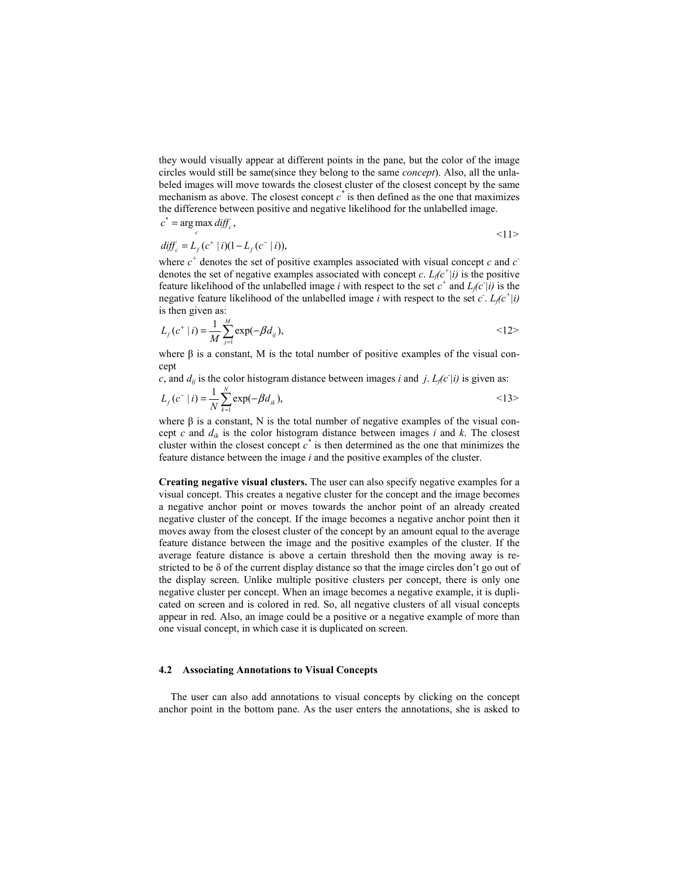they would visually appear at different points in the pane, but the color of the image circles would still be same(since they belong to the same *concept*). Also, all the unlabeled images will move towards the closest cluster of the closest concept by the same mechanism as above. The closest concept  $c^*$  is then defined as the one that maximizes the difference between positive and negative likelihood for the unlabelled image.

$$
c^* = \arg\max_c \text{diff}_c, \tag{11}
$$

$$
diff_c = L_f(c^+ | i)(1 - L_f(c^- | i)),
$$

where  $c^+$  denotes the set of positive examples associated with visual concept  $c$  and  $c^$ denotes the set of negative examples associated with concept  $c$ .  $L_f(c^+|i)$  is the positive feature likelihood of the unlabelled image *i* with respect to the set  $c^+$  and  $L_1(c|i)$  is the negative feature likelihood of the unlabelled image *i* with respect to the set  $\vec{c}$ .  $L_f(c^+|i)$ is then given as:

$$
L_f(c^* | i) = \frac{1}{M} \sum_{j=1}^{M} \exp(-\beta d_{ij}),
$$
  $\langle 12 \rangle$ 

where  $\beta$  is a constant, M is the total number of positive examples of the visual concept

*c*, and  $d_{ij}$  is the color histogram distance between images *i* and *j*.  $L_f(c|i)$  is given as:

$$
L_f(c^- | i) = \frac{1}{N} \sum_{k=1}^{N} \exp(-\beta d_{ik}),
$$

where  $\beta$  is a constant, N is the total number of negative examples of the visual concept *c* and  $d_{ik}$  is the color histogram distance between images *i* and *k*. The closest cluster within the closest concept  $c^*$  is then determined as the one that minimizes the feature distance between the image *i* and the positive examples of the cluster.

**Creating negative visual clusters.** The user can also specify negative examples for a visual concept. This creates a negative cluster for the concept and the image becomes a negative anchor point or moves towards the anchor point of an already created negative cluster of the concept. If the image becomes a negative anchor point then it moves away from the closest cluster of the concept by an amount equal to the average feature distance between the image and the positive examples of the cluster. If the average feature distance is above a certain threshold then the moving away is restricted to be  $\delta$  of the current display distance so that the image circles don't go out of the display screen. Unlike multiple positive clusters per concept, there is only one negative cluster per concept. When an image becomes a negative example, it is duplicated on screen and is colored in red. So, all negative clusters of all visual concepts appear in red. Also, an image could be a positive or a negative example of more than one visual concept, in which case it is duplicated on screen.

#### **4.2 Associating Annotations to Visual Concepts**

The user can also add annotations to visual concepts by clicking on the concept anchor point in the bottom pane. As the user enters the annotations, she is asked to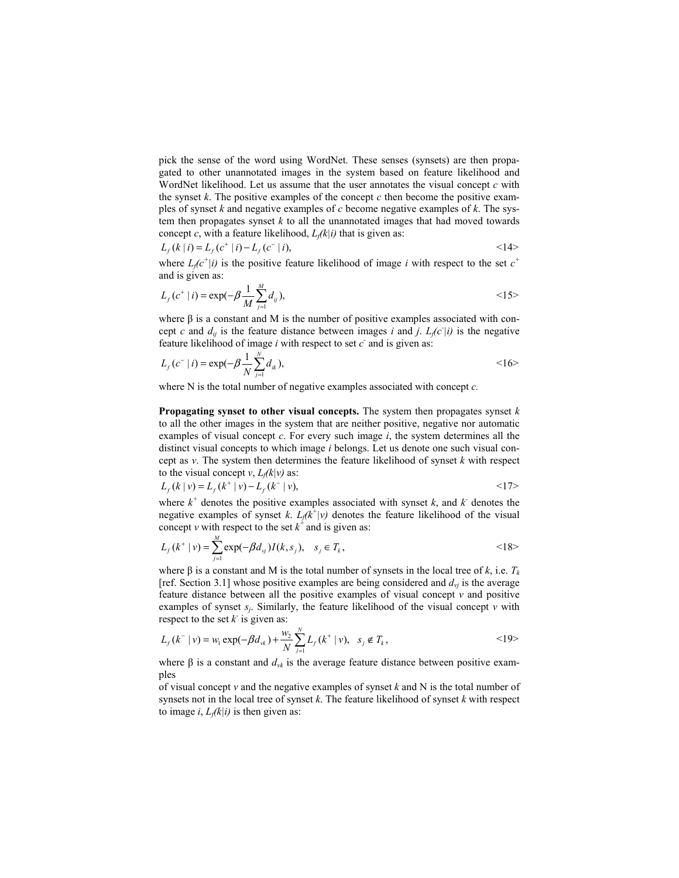pick the sense of the word using WordNet. These senses (synsets) are then propagated to other unannotated images in the system based on feature likelihood and WordNet likelihood. Let us assume that the user annotates the visual concept *c* with the synset  $k$ . The positive examples of the concept  $c$  then become the positive examples of synset *k* and negative examples of *c* become negative examples of *k*. The system then propagates synset *k* to all the unannotated images that had moved towards concept *c*, with a feature likelihood, *Lf(k|i)* that is given as:

$$
L_f(k|i) = L_f(c^+|i) - L_f(c^-|i),
$$
  $\langle 14 \rangle$ 

where  $L_f(c^+|i)$  is the positive feature likelihood of image *i* with respect to the set  $c^+$ and is given as:

$$
L_f(c^+ | i) = \exp(-\beta \frac{1}{M} \sum_{j=1}^{M} d_{ij}),
$$
  $<15>$ 

where  $\beta$  is a constant and M is the number of positive examples associated with concept *c* and  $d_{ij}$  is the feature distance between images *i* and *j*.  $L_f(c|i)$  is the negative feature likelihood of image *i* with respect to set  $c^{\dagger}$  and is given as:

$$
L_f(c^- | i) = \exp(-\beta \frac{1}{N} \sum_{j=1}^{N} d_{ik}),
$$
  $<16>$ 

where N is the total number of negative examples associated with concept *c.*

**Propagating synset to other visual concepts.** The system then propagates synset *k* to all the other images in the system that are neither positive, negative nor automatic examples of visual concept *c*. For every such image *i*, the system determines all the distinct visual concepts to which image *i* belongs. Let us denote one such visual concept as *v*. The system then determines the feature likelihood of synset *k* with respect to the visual concept  $v$ ,  $L_f(k|v)$  as:

$$
L_f(k | v) = L_f(k^+ | v) - L_f(k^- | v),
$$
  $\langle 17 \rangle$ 

where  $k^+$  denotes the positive examples associated with synset  $k$ , and  $k^-$  denotes the negative examples of synset *k*.  $L_f(k^{\dagger}|v)$  denotes the feature likelihood of the visual concept *v* with respect to the set  $k^+$  and is given as:

$$
L_f(k^+ | \nu) = \sum_{j=1}^{M} \exp(-\beta d_{\nu_j}) I(k, s_j), \quad s_j \in T_k, \tag{18}
$$

where  $\beta$  is a constant and M is the total number of synsets in the local tree of *k*, i.e.  $T_k$ [ref. Section 3.1] whose positive examples are being considered and  $d_{\nu i}$  is the average feature distance between all the positive examples of visual concept  $v$  and positive examples of synset  $s_j$ . Similarly, the feature likelihood of the visual concept  $v$  with respect to the set  $k^2$  is given as:

$$
L_f(k^- | v) = w_1 \exp(-\beta d_{vk}) + \frac{w_2}{N} \sum_{j=1}^{N} L_f(k^+ | v), \quad s_j \notin T_k, \tag{19}
$$

where  $\beta$  is a constant and  $d_{\nu k}$  is the average feature distance between positive examples

of visual concept *v* and the negative examples of synset *k* and N is the total number of synsets not in the local tree of synset *k*. The feature likelihood of synset *k* with respect to image  $i$ ,  $L_f(k|i)$  is then given as: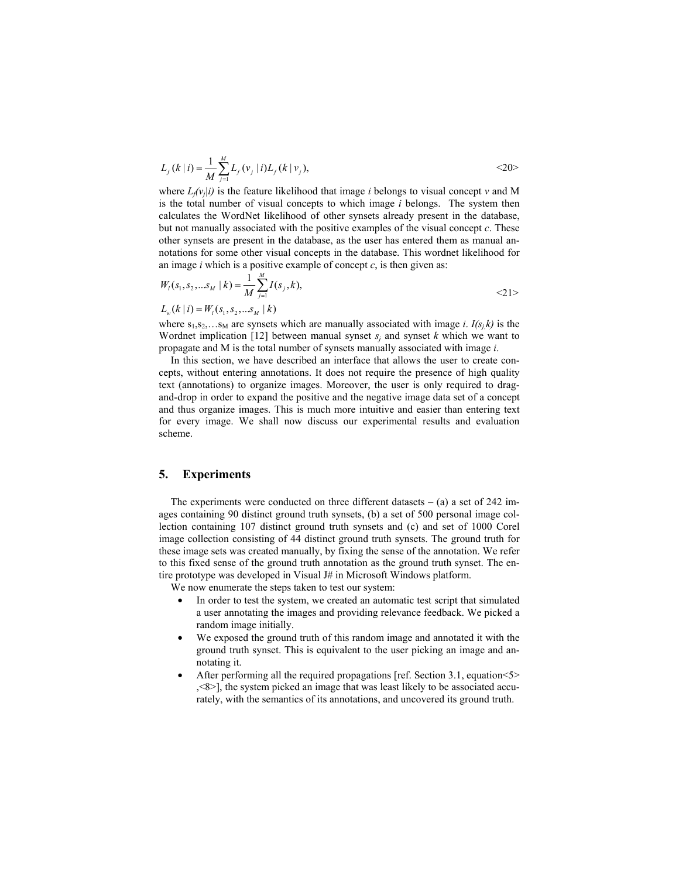$$
L_f(k|i) = \frac{1}{M} \sum_{j=1}^{M} L_f(v_j|i) L_f(k|v_j),
$$
<sup>(20)</sup>

where  $L_f(v_i|i)$  is the feature likelihood that image *i* belongs to visual concept *v* and M is the total number of visual concepts to which image *i* belongs. The system then calculates the WordNet likelihood of other synsets already present in the database, but not manually associated with the positive examples of the visual concept *c*. These other synsets are present in the database, as the user has entered them as manual annotations for some other visual concepts in the database. This wordnet likelihood for an image  $i$  which is a positive example of concept  $c$ , is then given as:

$$
W_l(s_1, s_2, \dots s_M \mid k) = \frac{1}{M} \sum_{j=1}^M I(s_j, k),
$$
  

$$
\leq 21 >
$$

$$
L_w(k | i) = W_1(s_1, s_2, ... s_M | k)
$$

where  $s_1, s_2, \ldots s_M$  are synsets which are manually associated with image *i*.  $I(s_i, k)$  is the Wordnet implication [12] between manual synset  $s_i$  and synset  $k$  which we want to propagate and M is the total number of synsets manually associated with image *i*.

In this section, we have described an interface that allows the user to create concepts, without entering annotations. It does not require the presence of high quality text (annotations) to organize images. Moreover, the user is only required to dragand-drop in order to expand the positive and the negative image data set of a concept and thus organize images. This is much more intuitive and easier than entering text for every image. We shall now discuss our experimental results and evaluation scheme.

## **5. Experiments**

The experiments were conducted on three different datasets  $-$  (a) a set of 242 images containing 90 distinct ground truth synsets, (b) a set of 500 personal image collection containing 107 distinct ground truth synsets and (c) and set of 1000 Corel image collection consisting of 44 distinct ground truth synsets. The ground truth for these image sets was created manually, by fixing the sense of the annotation. We refer to this fixed sense of the ground truth annotation as the ground truth synset. The entire prototype was developed in Visual J# in Microsoft Windows platform.

We now enumerate the steps taken to test our system:

- In order to test the system, we created an automatic test script that simulated a user annotating the images and providing relevance feedback. We picked a random image initially.
- We exposed the ground truth of this random image and annotated it with the ground truth synset. This is equivalent to the user picking an image and annotating it.
- After performing all the required propagations [ref. Section 3.1, equation  $5$ ,<8>], the system picked an image that was least likely to be associated accurately, with the semantics of its annotations, and uncovered its ground truth.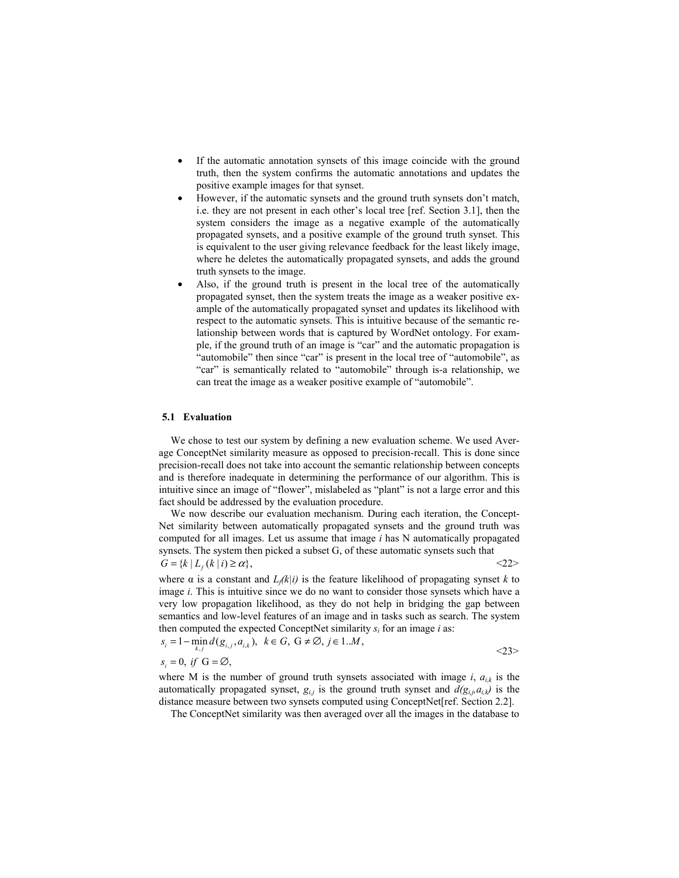- If the automatic annotation synsets of this image coincide with the ground truth, then the system confirms the automatic annotations and updates the positive example images for that synset.
- However, if the automatic synsets and the ground truth synsets don't match, i.e. they are not present in each other's local tree [ref. Section 3.1], then the system considers the image as a negative example of the automatically propagated synsets, and a positive example of the ground truth synset. This is equivalent to the user giving relevance feedback for the least likely image, where he deletes the automatically propagated synsets, and adds the ground truth synsets to the image.
- Also, if the ground truth is present in the local tree of the automatically propagated synset, then the system treats the image as a weaker positive example of the automatically propagated synset and updates its likelihood with respect to the automatic synsets. This is intuitive because of the semantic relationship between words that is captured by WordNet ontology. For example, if the ground truth of an image is "car" and the automatic propagation is "automobile" then since "car" is present in the local tree of "automobile", as "car" is semantically related to "automobile" through is-a relationship, we can treat the image as a weaker positive example of "automobile".

#### **5.1 Evaluation**

We chose to test our system by defining a new evaluation scheme. We used Average ConceptNet similarity measure as opposed to precision-recall. This is done since precision-recall does not take into account the semantic relationship between concepts and is therefore inadequate in determining the performance of our algorithm. This is intuitive since an image of "flower", mislabeled as "plant" is not a large error and this fact should be addressed by the evaluation procedure.

We now describe our evaluation mechanism. During each iteration, the Concept-Net similarity between automatically propagated synsets and the ground truth was computed for all images. Let us assume that image *i* has N automatically propagated synsets. The system then picked a subset G, of these automatic synsets such that

## ${G} = \{k | L_{f}(k | i) \ge \alpha\},\$  <22>

where  $\alpha$  is a constant and  $L_f(k|i)$  is the feature likelihood of propagating synset k to image *i*. This is intuitive since we do no want to consider those synsets which have a very low propagation likelihood, as they do not help in bridging the gap between semantics and low-level features of an image and in tasks such as search. The system then computed the expected ConceptNet similarity  $s_i$  for an image *i* as:

$$
s_i = 1 - \min_{k,j} d(g_{i,j}, a_{i,k}), \quad k \in G, \quad G \neq \emptyset, \quad j \in 1...M,
$$
  
\n
$$
s_i = 0, \quad \text{if } G = \emptyset,
$$
 (23)

where M is the number of ground truth synsets associated with image  $i$ ,  $a_{i,k}$  is the automatically propagated synset,  $g_{i,j}$  is the ground truth synset and  $d(g_{i,j},a_{i,k})$  is the distance measure between two synsets computed using ConceptNet[ref. Section 2.2].

The ConceptNet similarity was then averaged over all the images in the database to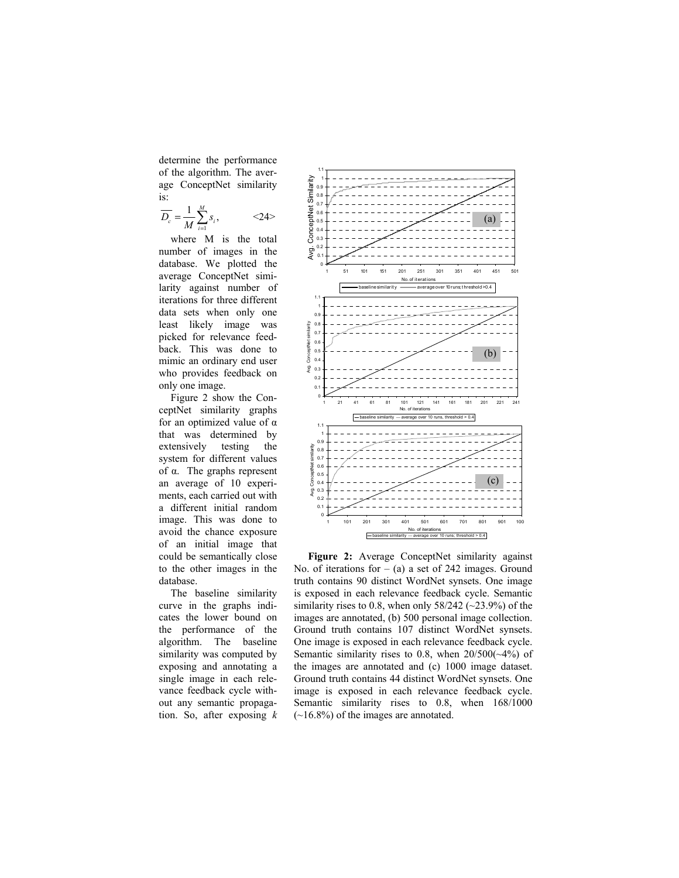determine the performance of the algorithm. The average ConceptNet similarity is:

$$
\overline{D_c} = \frac{1}{M} \sum_{i=1}^{M} s_i, \qquad \text{<24>}
$$

where M is the total number of images in the database. We plotted the average ConceptNet similarity against number of iterations for three different data sets when only one least likely image was picked for relevance feedback. This was done to mimic an ordinary end user who provides feedback on only one image.

Figure 2 show the ConceptNet similarity graphs for an optimized value of  $\alpha$ that was determined by extensively testing the system for different values of α. The graphs represent an average of 10 experiments, each carried out with a different initial random image. This was done to avoid the chance exposure of an initial image that could be semantically close to the other images in the database.

The baseline similarity curve in the graphs indicates the lower bound on the performance of the algorithm. The baseline similarity was computed by exposing and annotating a single image in each relevance feedback cycle without any semantic propagation. So, after exposing *k*



**Figure 2:** Average ConceptNet similarity against No. of iterations for  $-$  (a) a set of 242 images. Ground truth contains 90 distinct WordNet synsets. One image is exposed in each relevance feedback cycle. Semantic similarity rises to 0.8, when only  $58/242$  ( $\sim$ 23.9%) of the images are annotated, (b) 500 personal image collection. Ground truth contains 107 distinct WordNet synsets. One image is exposed in each relevance feedback cycle. Semantic similarity rises to 0.8, when  $20/500(-4%)$  of the images are annotated and (c) 1000 image dataset. Ground truth contains 44 distinct WordNet synsets. One image is exposed in each relevance feedback cycle. Semantic similarity rises to 0.8, when 168/1000  $(\sim]16.8\%)$  of the images are annotated.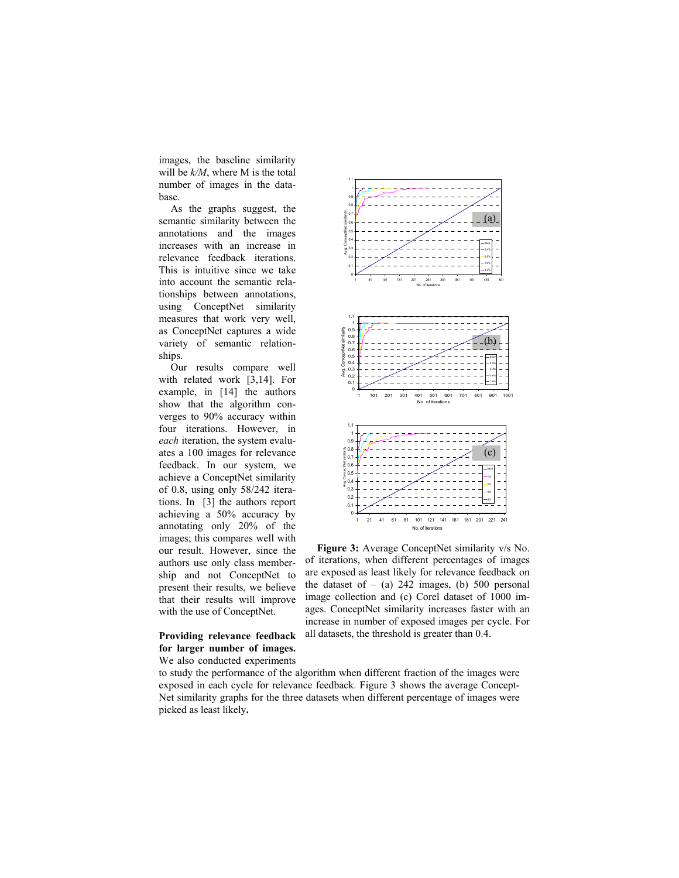images, the baseline similarity will be *k/M*, where M is the total number of images in the database.

As the graphs suggest, the semantic similarity between the annotations and the images increases with an increase in relevance feedback iterations. This is intuitive since we take into account the semantic relationships between annotations, using ConceptNet similarity measures that work very well, as ConceptNet captures a wide variety of semantic relationships.

Our results compare well with related work [3,14]. For example, in [14] the authors show that the algorithm converges to 90% accuracy within four iterations. However, in *each* iteration, the system evaluates a 100 images for relevance feedback. In our system, we achieve a ConceptNet similarity of 0.8, using only 58/242 iterations. In [3] the authors report achieving a 50% accuracy by annotating only 20% of the images; this compares well with our result. However, since the authors use only class membership and not ConceptNet to present their results, we believe that their results will improve with the use of ConceptNet.

## **Providing relevance feedback for larger number of images.**

We also conducted experiments



**Figure 3:** Average ConceptNet similarity v/s No. of iterations, when different percentages of images are exposed as least likely for relevance feedback on the dataset of  $-$  (a) 242 images, (b) 500 personal image collection and (c) Corel dataset of 1000 images. ConceptNet similarity increases faster with an increase in number of exposed images per cycle. For all datasets, the threshold is greater than 0.4.

to study the performance of the algorithm when different fraction of the images were exposed in each cycle for relevance feedback. Figure 3 shows the average Concept-Net similarity graphs for the three datasets when different percentage of images were picked as least likely**.**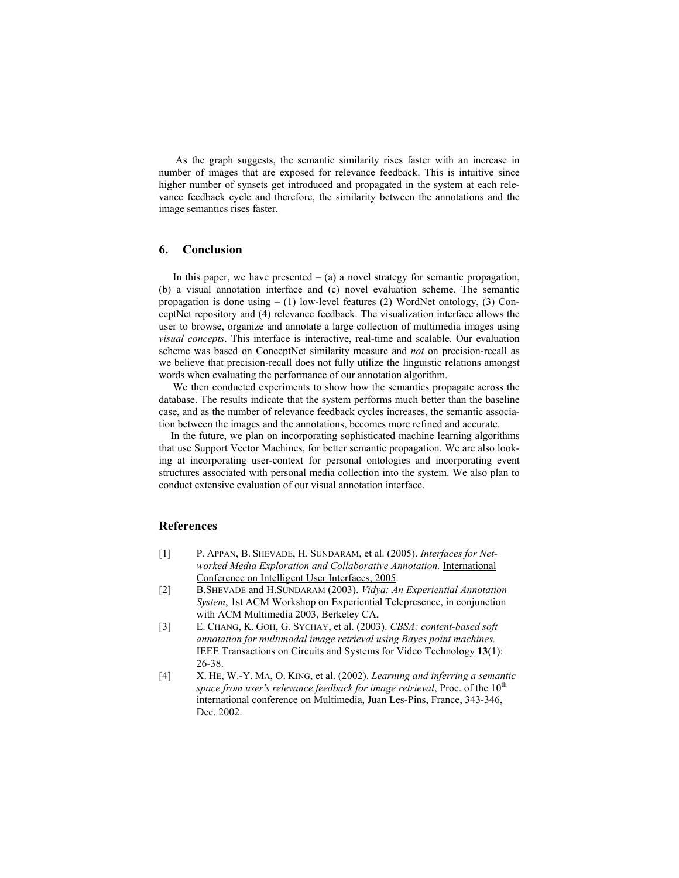As the graph suggests, the semantic similarity rises faster with an increase in number of images that are exposed for relevance feedback. This is intuitive since higher number of synsets get introduced and propagated in the system at each relevance feedback cycle and therefore, the similarity between the annotations and the image semantics rises faster.

## **6. Conclusion**

In this paper, we have presented  $-$  (a) a novel strategy for semantic propagation, (b) a visual annotation interface and (c) novel evaluation scheme. The semantic propagation is done using  $- (1)$  low-level features (2) WordNet ontology, (3) ConceptNet repository and (4) relevance feedback. The visualization interface allows the user to browse, organize and annotate a large collection of multimedia images using *visual concepts*. This interface is interactive, real-time and scalable. Our evaluation scheme was based on ConceptNet similarity measure and *not* on precision-recall as we believe that precision-recall does not fully utilize the linguistic relations amongst words when evaluating the performance of our annotation algorithm.

We then conducted experiments to show how the semantics propagate across the database. The results indicate that the system performs much better than the baseline case, and as the number of relevance feedback cycles increases, the semantic association between the images and the annotations, becomes more refined and accurate.

In the future, we plan on incorporating sophisticated machine learning algorithms that use Support Vector Machines, for better semantic propagation. We are also looking at incorporating user-context for personal ontologies and incorporating event structures associated with personal media collection into the system. We also plan to conduct extensive evaluation of our visual annotation interface.

## **References**

- [1] P. APPAN, B. SHEVADE, H. SUNDARAM, et al. (2005). *Interfaces for Networked Media Exploration and Collaborative Annotation.* International Conference on Intelligent User Interfaces, 2005.
- [2] B.SHEVADE and H.SUNDARAM (2003). *Vidya: An Experiential Annotation System*, 1st ACM Workshop on Experiential Telepresence, in conjunction with ACM Multimedia 2003, Berkeley CA,
- [3] E. CHANG, K. GOH, G. SYCHAY, et al. (2003). *CBSA: content-based soft annotation for multimodal image retrieval using Bayes point machines.* IEEE Transactions on Circuits and Systems for Video Technology **13**(1): 26-38.
- [4] X. HE, W.-Y. MA, O. KING, et al. (2002). *Learning and inferring a semantic space from user's relevance feedback for image retrieval*, Proc. of the 10<sup>th</sup> international conference on Multimedia, Juan Les-Pins, France, 343-346, Dec. 2002.